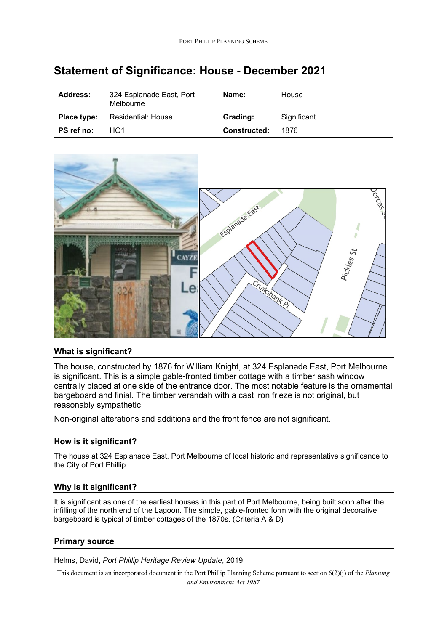| <b>Address:</b> | 324 Esplanade East, Port<br>Melbourne | Name:               | House       |
|-----------------|---------------------------------------|---------------------|-------------|
| Place type:     | Residential: House                    | Grading:            | Significant |
| PS ref no:      | HO <sub>1</sub>                       | <b>Constructed:</b> | 1876        |

# **Statement of Significance: House - December 2021**



## **What is significant?**

The house, constructed by 1876 for William Knight, at 324 Esplanade East, Port Melbourne is significant. This is a simple gable-fronted timber cottage with a timber sash window centrally placed at one side of the entrance door. The most notable feature is the ornamental bargeboard and finial. The timber verandah with a cast iron frieze is not original, but reasonably sympathetic.

Non-original alterations and additions and the front fence are not significant.

## **How is it significant?**

The house at 324 Esplanade East, Port Melbourne of local historic and representative significance to the City of Port Phillip.

## **Why is it significant?**

It is significant as one of the earliest houses in this part of Port Melbourne, being built soon after the infilling of the north end of the Lagoon. The simple, gable-fronted form with the original decorative bargeboard is typical of timber cottages of the 1870s. (Criteria A & D)

## **Primary source**

Helms, David, *Port Phillip Heritage Review Update*, 2019

This document is an incorporated document in the Port Phillip Planning Scheme pursuant to section 6(2)(j) of the *Planning and Environment Act 1987*